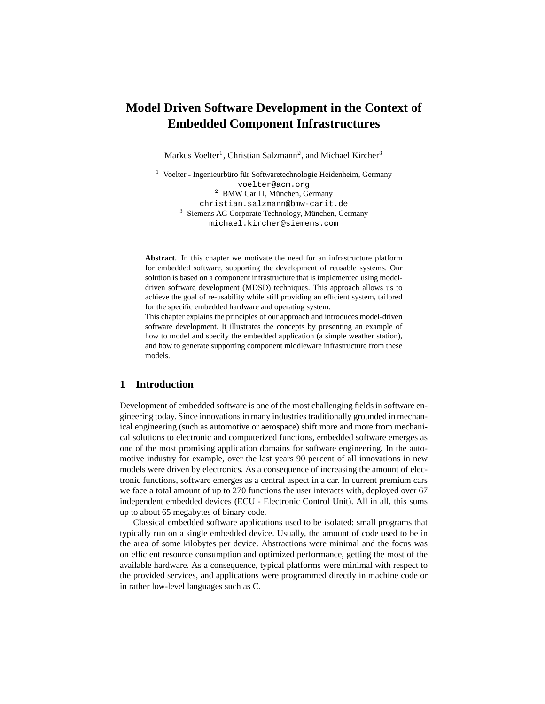# **Model Driven Software Development in the Context of Embedded Component Infrastructures**

Markus Voelter<sup>1</sup>, Christian Salzmann<sup>2</sup>, and Michael Kircher<sup>3</sup>

 $1$  Voelter - Ingenieurbüro für Softwaretechnologie Heidenheim, Germany voelter@acm.org  $2$  BMW Car IT, München, Germany christian.salzmann@bmw-carit.de <sup>3</sup> Siemens AG Corporate Technology, München, Germany michael.kircher@siemens.com

**Abstract.** In this chapter we motivate the need for an infrastructure platform for embedded software, supporting the development of reusable systems. Our solution is based on a component infrastructure that is implemented using modeldriven software development (MDSD) techniques. This approach allows us to achieve the goal of re-usability while still providing an efficient system, tailored for the specific embedded hardware and operating system.

This chapter explains the principles of our approach and introduces model-driven software development. It illustrates the concepts by presenting an example of how to model and specify the embedded application (a simple weather station), and how to generate supporting component middleware infrastructure from these models.

### **1 Introduction**

Development of embedded software is one of the most challenging fields in software engineering today. Since innovations in many industries traditionally grounded in mechanical engineering (such as automotive or aerospace) shift more and more from mechanical solutions to electronic and computerized functions, embedded software emerges as one of the most promising application domains for software engineering. In the automotive industry for example, over the last years 90 percent of all innovations in new models were driven by electronics. As a consequence of increasing the amount of electronic functions, software emerges as a central aspect in a car. In current premium cars we face a total amount of up to 270 functions the user interacts with, deployed over 67 independent embedded devices (ECU - Electronic Control Unit). All in all, this sums up to about 65 megabytes of binary code.

Classical embedded software applications used to be isolated: small programs that typically run on a single embedded device. Usually, the amount of code used to be in the area of some kilobytes per device. Abstractions were minimal and the focus was on efficient resource consumption and optimized performance, getting the most of the available hardware. As a consequence, typical platforms were minimal with respect to the provided services, and applications were programmed directly in machine code or in rather low-level languages such as C.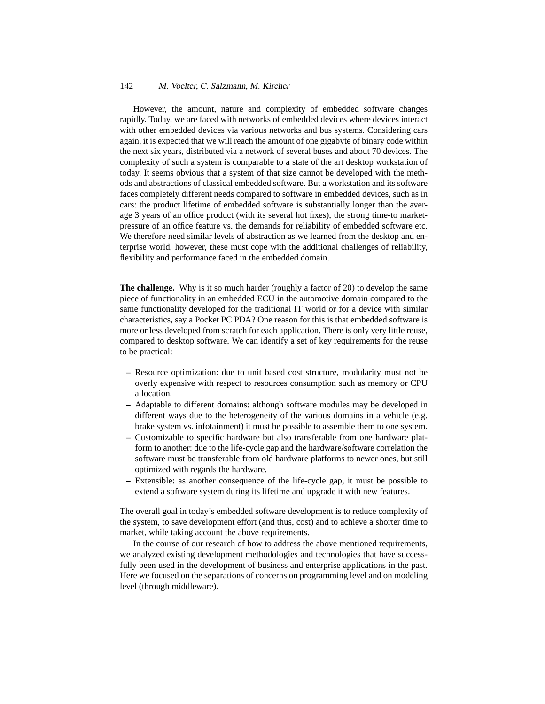However, the amount, nature and complexity of embedded software changes rapidly. Today, we are faced with networks of embedded devices where devices interact with other embedded devices via various networks and bus systems. Considering cars again, it is expected that we will reach the amount of one gigabyte of binary code within the next six years, distributed via a network of several buses and about 70 devices. The complexity of such a system is comparable to a state of the art desktop workstation of today. It seems obvious that a system of that size cannot be developed with the methods and abstractions of classical embedded software. But a workstation and its software faces completely different needs compared to software in embedded devices, such as in cars: the product lifetime of embedded software is substantially longer than the average 3 years of an office product (with its several hot fixes), the strong time-to marketpressure of an office feature vs. the demands for reliability of embedded software etc. We therefore need similar levels of abstraction as we learned from the desktop and enterprise world, however, these must cope with the additional challenges of reliability, flexibility and performance faced in the embedded domain.

**The challenge.** Why is it so much harder (roughly a factor of 20) to develop the same piece of functionality in an embedded ECU in the automotive domain compared to the same functionality developed for the traditional IT world or for a device with similar characteristics, say a Pocket PC PDA? One reason for this is that embedded software is more or less developed from scratch for each application. There is only very little reuse, compared to desktop software. We can identify a set of key requirements for the reuse to be practical:

- **–** Resource optimization: due to unit based cost structure, modularity must not be overly expensive with respect to resources consumption such as memory or CPU allocation.
- **–** Adaptable to different domains: although software modules may be developed in different ways due to the heterogeneity of the various domains in a vehicle (e.g. brake system vs. infotainment) it must be possible to assemble them to one system.
- **–** Customizable to specific hardware but also transferable from one hardware platform to another: due to the life-cycle gap and the hardware/software correlation the software must be transferable from old hardware platforms to newer ones, but still optimized with regards the hardware.
- **–** Extensible: as another consequence of the life-cycle gap, it must be possible to extend a software system during its lifetime and upgrade it with new features.

The overall goal in today's embedded software development is to reduce complexity of the system, to save development effort (and thus, cost) and to achieve a shorter time to market, while taking account the above requirements.

In the course of our research of how to address the above mentioned requirements, we analyzed existing development methodologies and technologies that have successfully been used in the development of business and enterprise applications in the past. Here we focused on the separations of concerns on programming level and on modeling level (through middleware).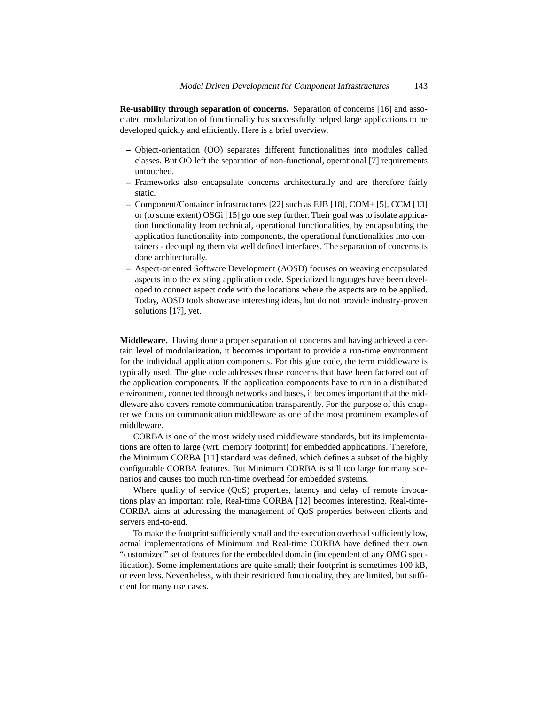**Re-usability through separation of concerns.** Separation of concerns [16] and associated modularization of functionality has successfully helped large applications to be developed quickly and efficiently. Here is a brief overview.

- **–** Object-orientation (OO) separates different functionalities into modules called classes. But OO left the separation of non-functional, operational [7] requirements untouched.
- **–** Frameworks also encapsulate concerns architecturally and are therefore fairly static.
- **–** Component/Container infrastructures [22] such as EJB [18], COM+ [5], CCM [13] or (to some extent) OSGi [15] go one step further. Their goal was to isolate application functionality from technical, operational functionalities, by encapsulating the application functionality into components, the operational functionalities into containers - decoupling them via well defined interfaces. The separation of concerns is done architecturally.
- **–** Aspect-oriented Software Development (AOSD) focuses on weaving encapsulated aspects into the existing application code. Specialized languages have been developed to connect aspect code with the locations where the aspects are to be applied. Today, AOSD tools showcase interesting ideas, but do not provide industry-proven solutions [17], yet.

**Middleware.** Having done a proper separation of concerns and having achieved a certain level of modularization, it becomes important to provide a run-time environment for the individual application components. For this glue code, the term middleware is typically used. The glue code addresses those concerns that have been factored out of the application components. If the application components have to run in a distributed environment, connected through networks and buses, it becomes important that the middleware also covers remote communication transparently. For the purpose of this chapter we focus on communication middleware as one of the most prominent examples of middleware.

CORBA is one of the most widely used middleware standards, but its implementations are often to large (wrt. memory footprint) for embedded applications. Therefore, the Minimum CORBA [11] standard was defined, which defines a subset of the highly configurable CORBA features. But Minimum CORBA is still too large for many scenarios and causes too much run-time overhead for embedded systems.

Where quality of service (QoS) properties, latency and delay of remote invocations play an important role, Real-time CORBA [12] becomes interesting. Real-time-CORBA aims at addressing the management of QoS properties between clients and servers end-to-end.

To make the footprint sufficiently small and the execution overhead sufficiently low, actual implementations of Minimum and Real-time CORBA have defined their own "customized" set of features for the embedded domain (independent of any OMG specification). Some implementations are quite small; their footprint is sometimes 100 kB, or even less. Nevertheless, with their restricted functionality, they are limited, but sufficient for many use cases.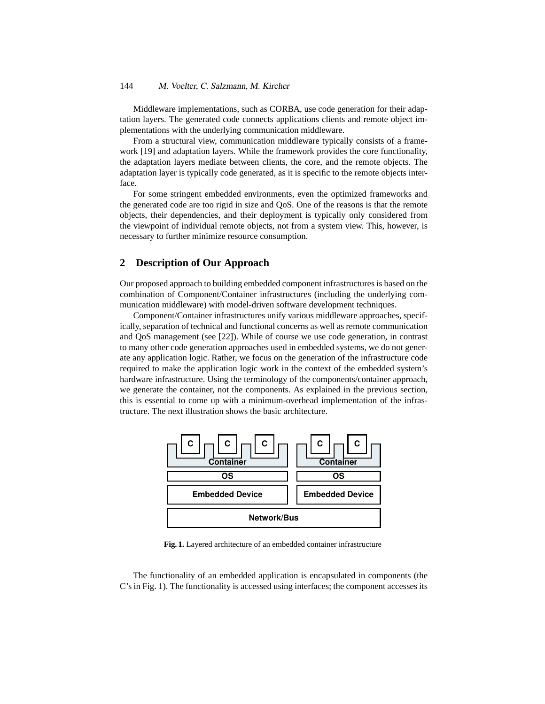Middleware implementations, such as CORBA, use code generation for their adaptation layers. The generated code connects applications clients and remote object implementations with the underlying communication middleware.

From a structural view, communication middleware typically consists of a framework [19] and adaptation layers. While the framework provides the core functionality, the adaptation layers mediate between clients, the core, and the remote objects. The adaptation layer is typically code generated, as it is specific to the remote objects interface.

For some stringent embedded environments, even the optimized frameworks and the generated code are too rigid in size and QoS. One of the reasons is that the remote objects, their dependencies, and their deployment is typically only considered from the viewpoint of individual remote objects, not from a system view. This, however, is necessary to further minimize resource consumption.

# **2 Description of Our Approach**

Our proposed approach to building embedded component infrastructures is based on the combination of Component/Container infrastructures (including the underlying communication middleware) with model-driven software development techniques.

Component/Container infrastructures unify various middleware approaches, specifically, separation of technical and functional concerns as well as remote communication and QoS management (see [22]). While of course we use code generation, in contrast to many other code generation approaches used in embedded systems, we do not generate any application logic. Rather, we focus on the generation of the infrastructure code required to make the application logic work in the context of the embedded system's hardware infrastructure. Using the terminology of the components/container approach, we generate the container, not the components. As explained in the previous section, this is essential to come up with a minimum-overhead implementation of the infrastructure. The next illustration shows the basic architecture.



**Fig. 1.** Layered architecture of an embedded container infrastructure

The functionality of an embedded application is encapsulated in components (the C's in Fig. 1). The functionality is accessed using interfaces; the component accesses its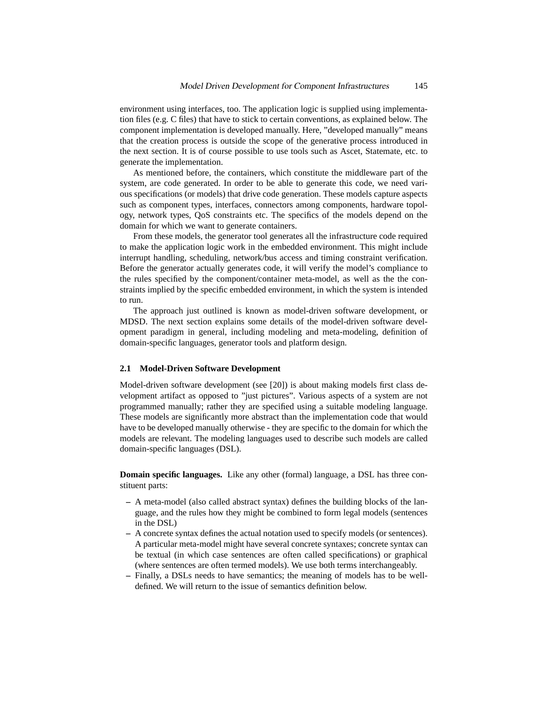environment using interfaces, too. The application logic is supplied using implementation files (e.g. C files) that have to stick to certain conventions, as explained below. The component implementation is developed manually. Here, "developed manually" means that the creation process is outside the scope of the generative process introduced in the next section. It is of course possible to use tools such as Ascet, Statemate, etc. to generate the implementation.

As mentioned before, the containers, which constitute the middleware part of the system, are code generated. In order to be able to generate this code, we need various specifications (or models) that drive code generation. These models capture aspects such as component types, interfaces, connectors among components, hardware topology, network types, QoS constraints etc. The specifics of the models depend on the domain for which we want to generate containers.

From these models, the generator tool generates all the infrastructure code required to make the application logic work in the embedded environment. This might include interrupt handling, scheduling, network/bus access and timing constraint verification. Before the generator actually generates code, it will verify the model's compliance to the rules specified by the component/container meta-model, as well as the the constraints implied by the specific embedded environment, in which the system is intended to run.

The approach just outlined is known as model-driven software development, or MDSD. The next section explains some details of the model-driven software development paradigm in general, including modeling and meta-modeling, definition of domain-specific languages, generator tools and platform design.

### **2.1 Model-Driven Software Development**

Model-driven software development (see [20]) is about making models first class development artifact as opposed to "just pictures". Various aspects of a system are not programmed manually; rather they are specified using a suitable modeling language. These models are significantly more abstract than the implementation code that would have to be developed manually otherwise - they are specific to the domain for which the models are relevant. The modeling languages used to describe such models are called domain-specific languages (DSL).

**Domain specific languages.** Like any other (formal) language, a DSL has three constituent parts:

- **–** A meta-model (also called abstract syntax) defines the building blocks of the language, and the rules how they might be combined to form legal models (sentences in the DSL)
- **–** A concrete syntax defines the actual notation used to specify models (or sentences). A particular meta-model might have several concrete syntaxes; concrete syntax can be textual (in which case sentences are often called specifications) or graphical (where sentences are often termed models). We use both terms interchangeably.
- **–** Finally, a DSLs needs to have semantics; the meaning of models has to be welldefined. We will return to the issue of semantics definition below.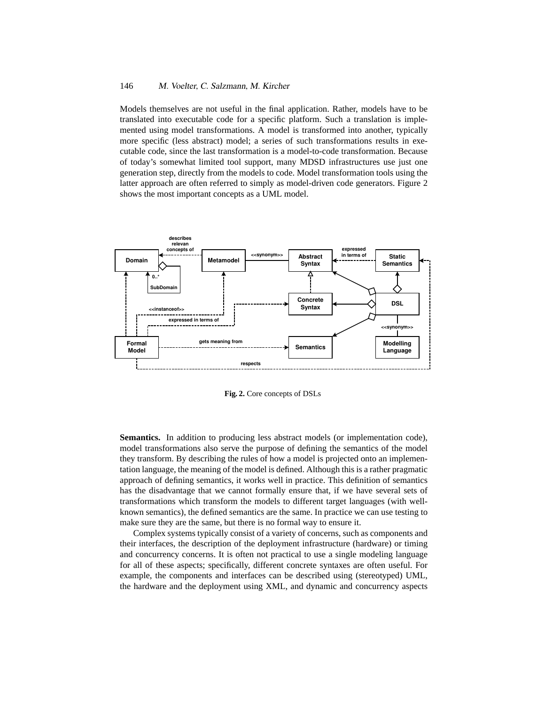Models themselves are not useful in the final application. Rather, models have to be translated into executable code for a specific platform. Such a translation is implemented using model transformations. A model is transformed into another, typically more specific (less abstract) model; a series of such transformations results in executable code, since the last transformation is a model-to-code transformation. Because of today's somewhat limited tool support, many MDSD infrastructures use just one generation step, directly from the models to code. Model transformation tools using the latter approach are often referred to simply as model-driven code generators. Figure 2 shows the most important concepts as a UML model.



**Fig. 2.** Core concepts of DSLs

**Semantics.** In addition to producing less abstract models (or implementation code), model transformations also serve the purpose of defining the semantics of the model they transform. By describing the rules of how a model is projected onto an implementation language, the meaning of the model is defined. Although this is a rather pragmatic approach of defining semantics, it works well in practice. This definition of semantics has the disadvantage that we cannot formally ensure that, if we have several sets of transformations which transform the models to different target languages (with wellknown semantics), the defined semantics are the same. In practice we can use testing to make sure they are the same, but there is no formal way to ensure it.

Complex systems typically consist of a variety of concerns, such as components and their interfaces, the description of the deployment infrastructure (hardware) or timing and concurrency concerns. It is often not practical to use a single modeling language for all of these aspects; specifically, different concrete syntaxes are often useful. For example, the components and interfaces can be described using (stereotyped) UML, the hardware and the deployment using XML, and dynamic and concurrency aspects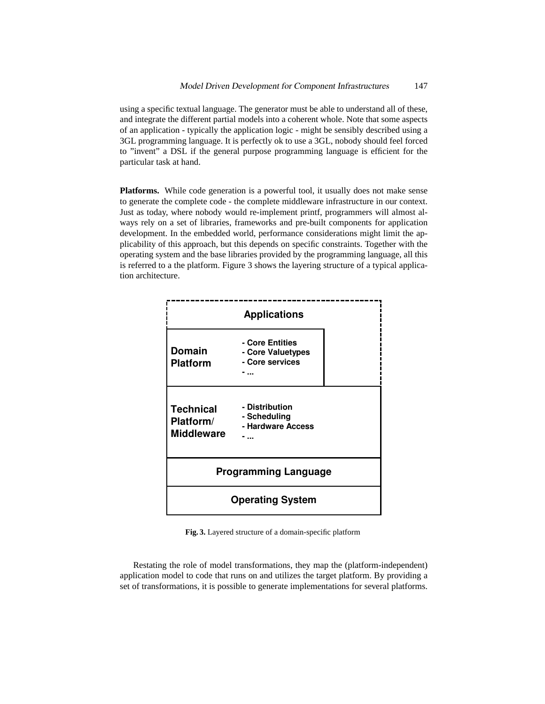using a specific textual language. The generator must be able to understand all of these, and integrate the different partial models into a coherent whole. Note that some aspects of an application - typically the application logic - might be sensibly described using a 3GL programming language. It is perfectly ok to use a 3GL, nobody should feel forced to "invent" a DSL if the general purpose programming language is efficient for the particular task at hand.

**Platforms.** While code generation is a powerful tool, it usually does not make sense to generate the complete code - the complete middleware infrastructure in our context. Just as today, where nobody would re-implement printf, programmers will almost always rely on a set of libraries, frameworks and pre-built components for application development. In the embedded world, performance considerations might limit the applicability of this approach, but this depends on specific constraints. Together with the operating system and the base libraries provided by the programming language, all this is referred to a the platform. Figure 3 shows the layering structure of a typical application architecture.



**Fig. 3.** Layered structure of a domain-specific platform

Restating the role of model transformations, they map the (platform-independent) application model to code that runs on and utilizes the target platform. By providing a set of transformations, it is possible to generate implementations for several platforms.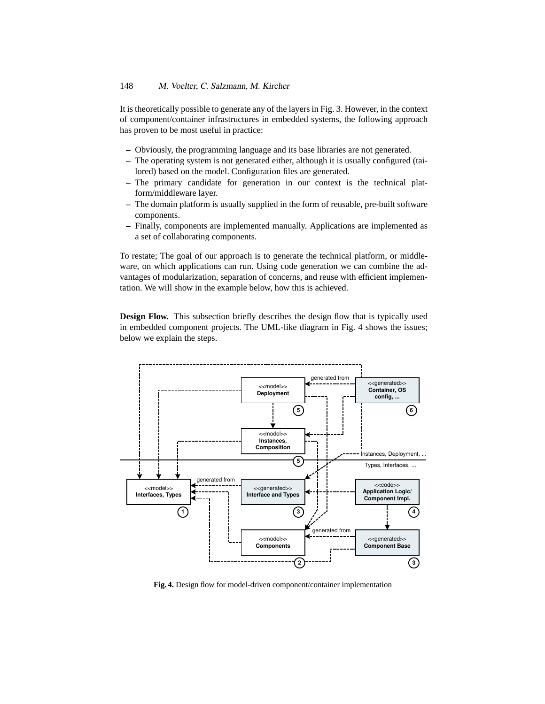It is theoretically possible to generate any of the layers in Fig. 3. However, in the context of component/container infrastructures in embedded systems, the following approach has proven to be most useful in practice:

- **–** Obviously, the programming language and its base libraries are not generated.
- **–** The operating system is not generated either, although it is usually configured (tailored) based on the model. Configuration files are generated.
- **–** The primary candidate for generation in our context is the technical platform/middleware layer.
- **–** The domain platform is usually supplied in the form of reusable, pre-built software components.
- **–** Finally, components are implemented manually. Applications are implemented as a set of collaborating components.

To restate; The goal of our approach is to generate the technical platform, or middleware, on which applications can run. Using code generation we can combine the advantages of modularization, separation of concerns, and reuse with efficient implementation. We will show in the example below, how this is achieved.

**Design Flow.** This subsection briefly describes the design flow that is typically used in embedded component projects. The UML-like diagram in Fig. 4 shows the issues; below we explain the steps.



**Fig. 4.** Design flow for model-driven component/container implementation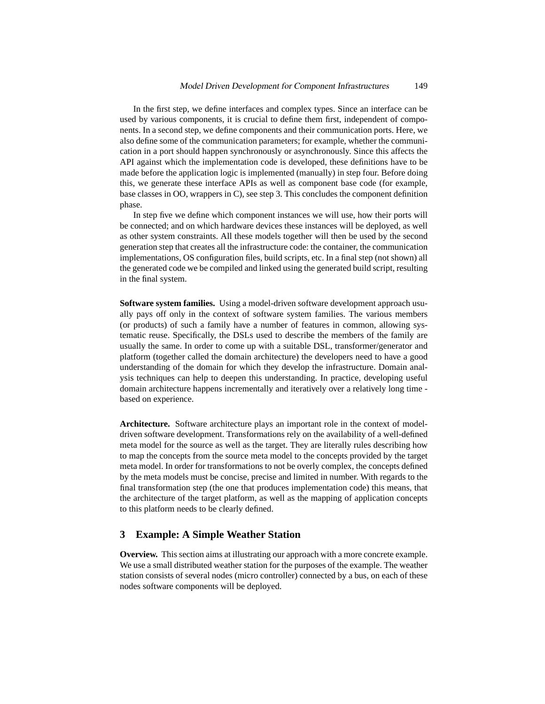In the first step, we define interfaces and complex types. Since an interface can be used by various components, it is crucial to define them first, independent of components. In a second step, we define components and their communication ports. Here, we also define some of the communication parameters; for example, whether the communication in a port should happen synchronously or asynchronously. Since this affects the API against which the implementation code is developed, these definitions have to be made before the application logic is implemented (manually) in step four. Before doing this, we generate these interface APIs as well as component base code (for example, base classes in OO, wrappers in C), see step 3. This concludes the component definition phase.

In step five we define which component instances we will use, how their ports will be connected; and on which hardware devices these instances will be deployed, as well as other system constraints. All these models together will then be used by the second generation step that creates all the infrastructure code: the container, the communication implementations, OS configuration files, build scripts, etc. In a final step (not shown) all the generated code we be compiled and linked using the generated build script, resulting in the final system.

**Software system families.** Using a model-driven software development approach usually pays off only in the context of software system families. The various members (or products) of such a family have a number of features in common, allowing systematic reuse. Specifically, the DSLs used to describe the members of the family are usually the same. In order to come up with a suitable DSL, transformer/generator and platform (together called the domain architecture) the developers need to have a good understanding of the domain for which they develop the infrastructure. Domain analysis techniques can help to deepen this understanding. In practice, developing useful domain architecture happens incrementally and iteratively over a relatively long time based on experience.

**Architecture.** Software architecture plays an important role in the context of modeldriven software development. Transformations rely on the availability of a well-defined meta model for the source as well as the target. They are literally rules describing how to map the concepts from the source meta model to the concepts provided by the target meta model. In order for transformations to not be overly complex, the concepts defined by the meta models must be concise, precise and limited in number. With regards to the final transformation step (the one that produces implementation code) this means, that the architecture of the target platform, as well as the mapping of application concepts to this platform needs to be clearly defined.

## **3 Example: A Simple Weather Station**

**Overview.** This section aims at illustrating our approach with a more concrete example. We use a small distributed weather station for the purposes of the example. The weather station consists of several nodes (micro controller) connected by a bus, on each of these nodes software components will be deployed.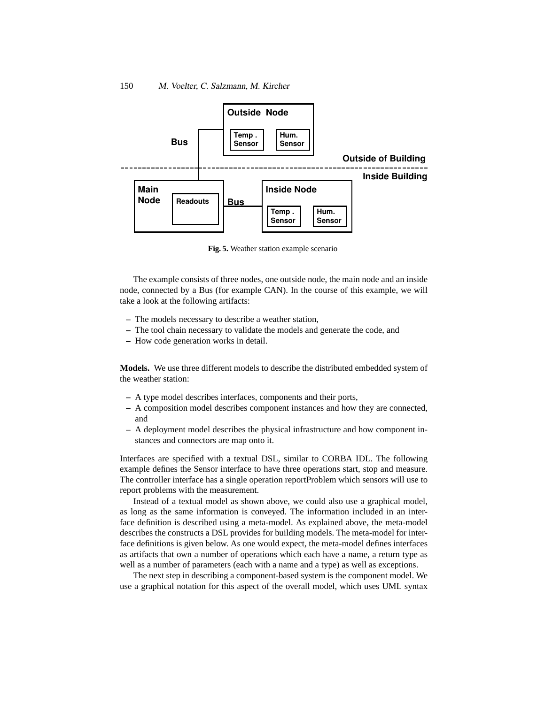

**Fig. 5.** Weather station example scenario

The example consists of three nodes, one outside node, the main node and an inside node, connected by a Bus (for example CAN). In the course of this example, we will take a look at the following artifacts:

- **–** The models necessary to describe a weather station,
- **–** The tool chain necessary to validate the models and generate the code, and
- **–** How code generation works in detail.

**Models.** We use three different models to describe the distributed embedded system of the weather station:

- **–** A type model describes interfaces, components and their ports,
- **–** A composition model describes component instances and how they are connected, and
- **–** A deployment model describes the physical infrastructure and how component instances and connectors are map onto it.

Interfaces are specified with a textual DSL, similar to CORBA IDL. The following example defines the Sensor interface to have three operations start, stop and measure. The controller interface has a single operation reportProblem which sensors will use to report problems with the measurement.

Instead of a textual model as shown above, we could also use a graphical model, as long as the same information is conveyed. The information included in an interface definition is described using a meta-model. As explained above, the meta-model describes the constructs a DSL provides for building models. The meta-model for interface definitions is given below. As one would expect, the meta-model defines interfaces as artifacts that own a number of operations which each have a name, a return type as well as a number of parameters (each with a name and a type) as well as exceptions.

The next step in describing a component-based system is the component model. We use a graphical notation for this aspect of the overall model, which uses UML syntax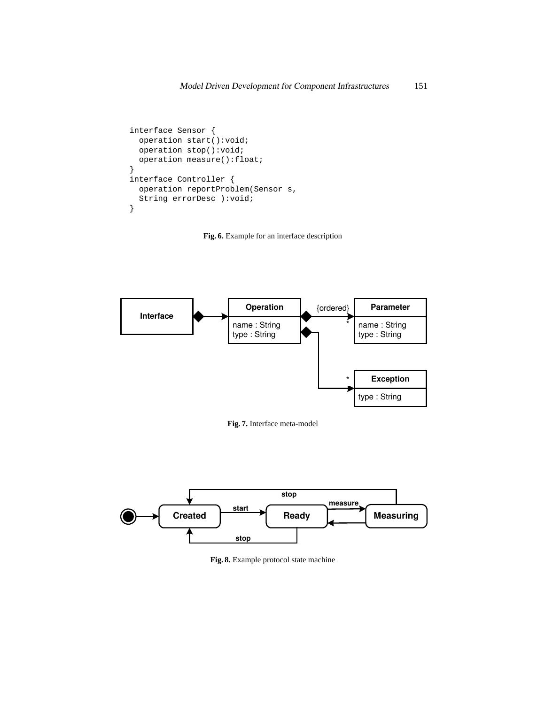```
interface Sensor {
  operation start():void;
  operation stop():void;
  operation measure():float;
}
interface Controller {
  operation reportProblem(Sensor s,
  String errorDesc ):void;
}
```
**Fig. 6.** Example for an interface description



**Fig. 7.** Interface meta-model



**Fig. 8.** Example protocol state machine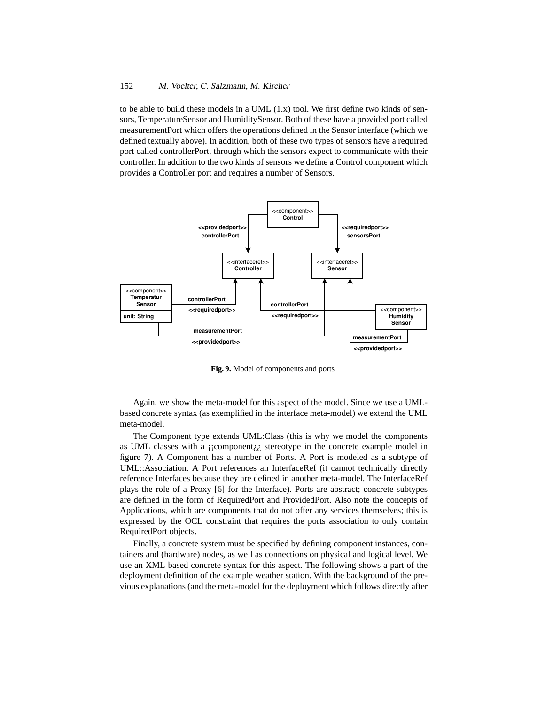to be able to build these models in a UML  $(1.x)$  tool. We first define two kinds of sensors, TemperatureSensor and HumiditySensor. Both of these have a provided port called measurementPort which offers the operations defined in the Sensor interface (which we defined textually above). In addition, both of these two types of sensors have a required port called controllerPort, through which the sensors expect to communicate with their controller. In addition to the two kinds of sensors we define a Control component which provides a Controller port and requires a number of Sensors.



**Fig. 9.** Model of components and ports

Again, we show the meta-model for this aspect of the model. Since we use a UMLbased concrete syntax (as exemplified in the interface meta-model) we extend the UML meta-model.

The Component type extends UML:Class (this is why we model the components as UML classes with a  $\mu$  i component $\mu$  stereotype in the concrete example model in figure 7). A Component has a number of Ports. A Port is modeled as a subtype of UML::Association. A Port references an InterfaceRef (it cannot technically directly reference Interfaces because they are defined in another meta-model. The InterfaceRef plays the role of a Proxy [6] for the Interface). Ports are abstract; concrete subtypes are defined in the form of RequiredPort and ProvidedPort. Also note the concepts of Applications, which are components that do not offer any services themselves; this is expressed by the OCL constraint that requires the ports association to only contain RequiredPort objects.

Finally, a concrete system must be specified by defining component instances, containers and (hardware) nodes, as well as connections on physical and logical level. We use an XML based concrete syntax for this aspect. The following shows a part of the deployment definition of the example weather station. With the background of the previous explanations (and the meta-model for the deployment which follows directly after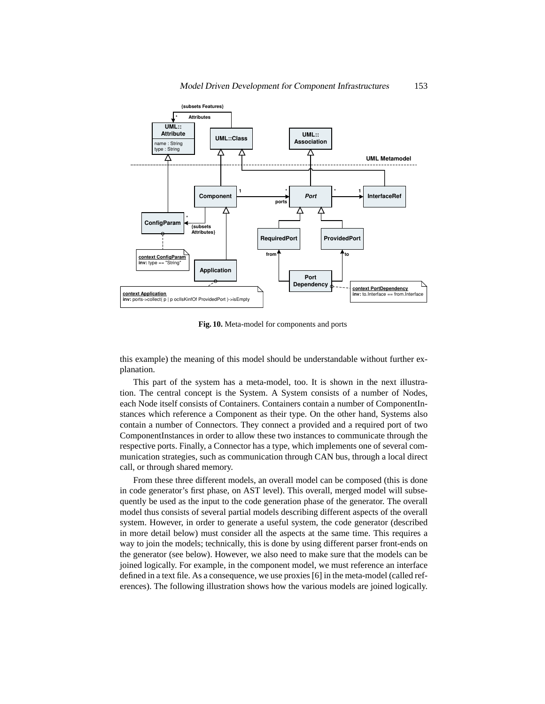

**Fig. 10.** Meta-model for components and ports

this example) the meaning of this model should be understandable without further explanation.

This part of the system has a meta-model, too. It is shown in the next illustration. The central concept is the System. A System consists of a number of Nodes, each Node itself consists of Containers. Containers contain a number of ComponentInstances which reference a Component as their type. On the other hand, Systems also contain a number of Connectors. They connect a provided and a required port of two ComponentInstances in order to allow these two instances to communicate through the respective ports. Finally, a Connector has a type, which implements one of several communication strategies, such as communication through CAN bus, through a local direct call, or through shared memory.

From these three different models, an overall model can be composed (this is done in code generator's first phase, on AST level). This overall, merged model will subsequently be used as the input to the code generation phase of the generator. The overall model thus consists of several partial models describing different aspects of the overall system. However, in order to generate a useful system, the code generator (described in more detail below) must consider all the aspects at the same time. This requires a way to join the models; technically, this is done by using different parser front-ends on the generator (see below). However, we also need to make sure that the models can be joined logically. For example, in the component model, we must reference an interface defined in a text file. As a consequence, we use proxies [6] in the meta-model (called references). The following illustration shows how the various models are joined logically.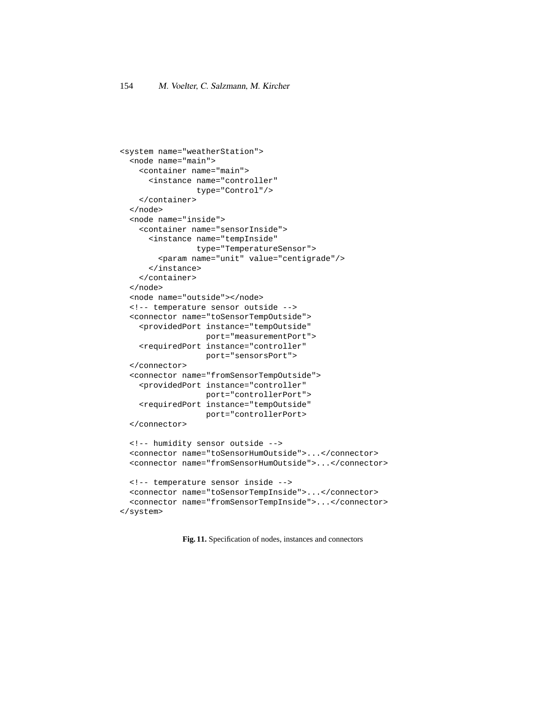```
<system name="weatherStation">
  <node name="main">
   <container name="main">
      <instance name="controller"
               type="Control"/>
    </container>
 </node>
  <node name="inside">
    <container name="sensorInside">
      <instance name="tempInside"
                type="TemperatureSensor">
        <param name="unit" value="centigrade"/>
      </instance>
    </container>
 </node>
  <node name="outside"></node>
 <!-- temperature sensor outside -->
  <connector name="toSensorTempOutside">
    <providedPort instance="tempOutside"
                  port="measurementPort">
    <requiredPort instance="controller"
                  port="sensorsPort">
  </connector>
  <connector name="fromSensorTempOutside">
    <providedPort instance="controller"
                 port="controllerPort">
    <requiredPort instance="tempOutside"
                 port="controllerPort>
  </connector>
 <!-- humidity sensor outside -->
 <connector name="toSensorHumOutside">...</connector>
  <connector name="fromSensorHumOutside">...</connector>
 <!-- temperature sensor inside -->
  <connector name="toSensorTempInside">...</connector>
  <connector name="fromSensorTempInside">...</connector>
</system>
```
**Fig. 11.** Specification of nodes, instances and connectors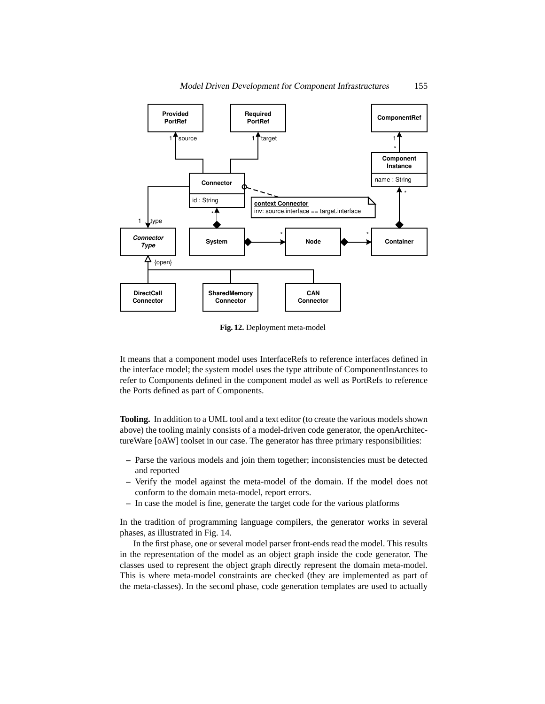

**Fig. 12.** Deployment meta-model

It means that a component model uses InterfaceRefs to reference interfaces defined in the interface model; the system model uses the type attribute of ComponentInstances to refer to Components defined in the component model as well as PortRefs to reference the Ports defined as part of Components.

**Tooling.** In addition to a UML tool and a text editor (to create the various models shown above) the tooling mainly consists of a model-driven code generator, the openArchitectureWare [oAW] toolset in our case. The generator has three primary responsibilities:

- **–** Parse the various models and join them together; inconsistencies must be detected and reported
- **–** Verify the model against the meta-model of the domain. If the model does not conform to the domain meta-model, report errors.
- **–** In case the model is fine, generate the target code for the various platforms

In the tradition of programming language compilers, the generator works in several phases, as illustrated in Fig. 14.

In the first phase, one or several model parser front-ends read the model. This results in the representation of the model as an object graph inside the code generator. The classes used to represent the object graph directly represent the domain meta-model. This is where meta-model constraints are checked (they are implemented as part of the meta-classes). In the second phase, code generation templates are used to actually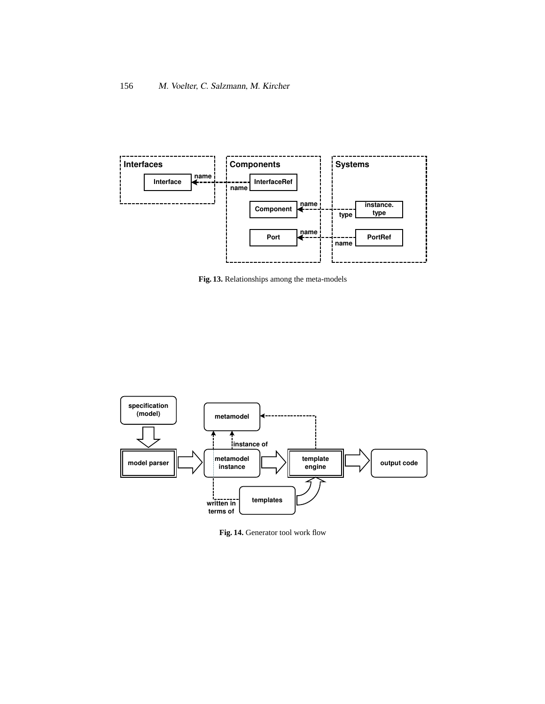

**Fig. 13.** Relationships among the meta-models



**Fig. 14.** Generator tool work flow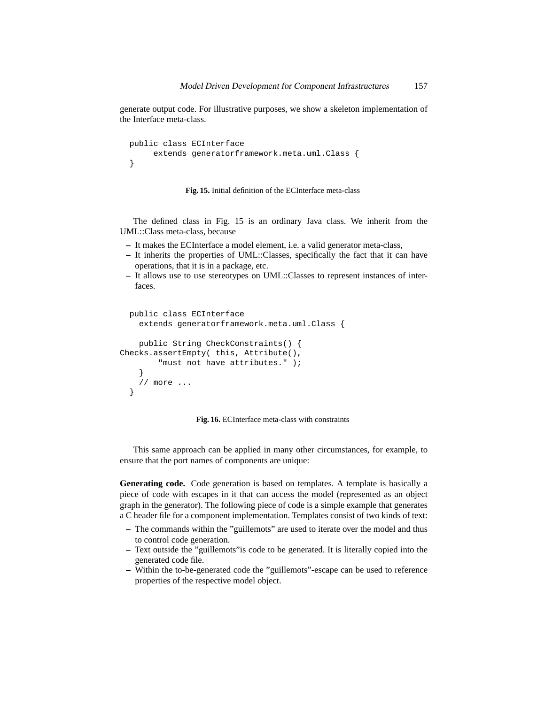generate output code. For illustrative purposes, we show a skeleton implementation of the Interface meta-class.

```
public class ECInterface
     extends generatorframework.meta.uml.Class {
}
```
**Fig. 15.** Initial definition of the ECInterface meta-class

The defined class in Fig. 15 is an ordinary Java class. We inherit from the UML::Class meta-class, because

- **–** It makes the ECInterface a model element, i.e. a valid generator meta-class,
- **–** It inherits the properties of UML::Classes, specifically the fact that it can have operations, that it is in a package, etc.
- **–** It allows use to use stereotypes on UML::Classes to represent instances of interfaces.

```
public class ECInterface
    extends generatorframework.meta.uml.Class {
    public String CheckConstraints() {
Checks.assertEmpty( this, Attribute(),
        "must not have attributes." );
    }
    // more ...
  }
```
**Fig. 16.** ECInterface meta-class with constraints

This same approach can be applied in many other circumstances, for example, to ensure that the port names of components are unique:

**Generating code.** Code generation is based on templates. A template is basically a piece of code with escapes in it that can access the model (represented as an object graph in the generator). The following piece of code is a simple example that generates a C header file for a component implementation. Templates consist of two kinds of text:

- **–** The commands within the "guillemots" are used to iterate over the model and thus to control code generation.
- **–** Text outside the "guillemots"is code to be generated. It is literally copied into the generated code file.
- **–** Within the to-be-generated code the "guillemots"-escape can be used to reference properties of the respective model object.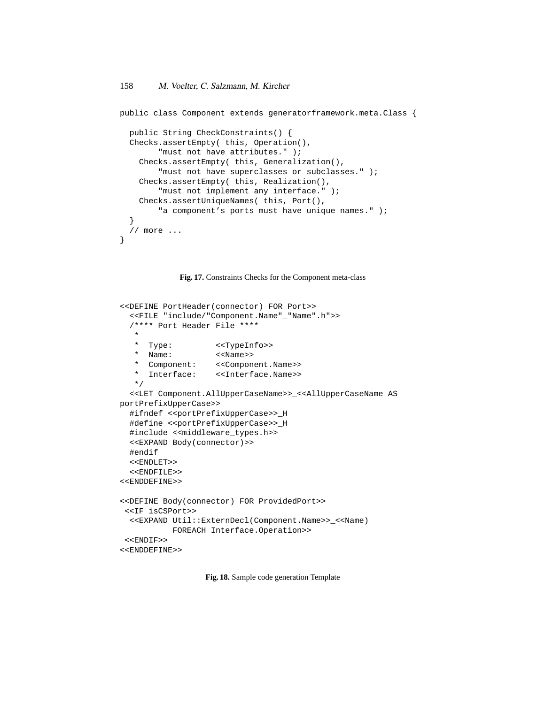```
public class Component extends generatorframework.meta.Class {
  public String CheckConstraints() {
  Checks.assertEmpty( this, Operation(),
        "must not have attributes." );
    Checks.assertEmpty( this, Generalization(),
        "must not have superclasses or subclasses." );
    Checks.assertEmpty( this, Realization(),
        "must not implement any interface." );
    Checks.assertUniqueNames( this, Port(),
        "a component's ports must have unique names." );
  }
  // more ...
}
```
**Fig. 17.** Constraints Checks for the Component meta-class

```
<<DEFINE PortHeader(connector) FOR Port>>
  <<FILE "include/"Component.Name"_"Name".h">>
  /**** Port Header File ****
   *
   * Type: <<TypeInfo>>
   * Name: <<Name>>
   * Component: <<Component.Name>>
   * Interface: <<Interface.Name>>
   */
  <<LET Component.AllUpperCaseName>>_<<AllUpperCaseName AS
portPrefixUpperCase>>
  #ifndef << portPrefixUpperCase>>_H
  #define << portPrefixUpperCase>>_H
  #include <<middleware_types.h>>
  <<EXPAND Body(connector)>>
  #endif
  <<ENDLET>>
  <<ENDFILE>>
<<ENDDEFINE>>
<<DEFINE Body(connector) FOR ProvidedPort>>
<<IF isCSPort>>
  <<EXPAND Util::ExternDecl(Component.Name>>_<<Name)
          FOREACH Interface.Operation>>
 <<ENDIF>>
<<ENDDEFINE>>
```
**Fig. 18.** Sample code generation Template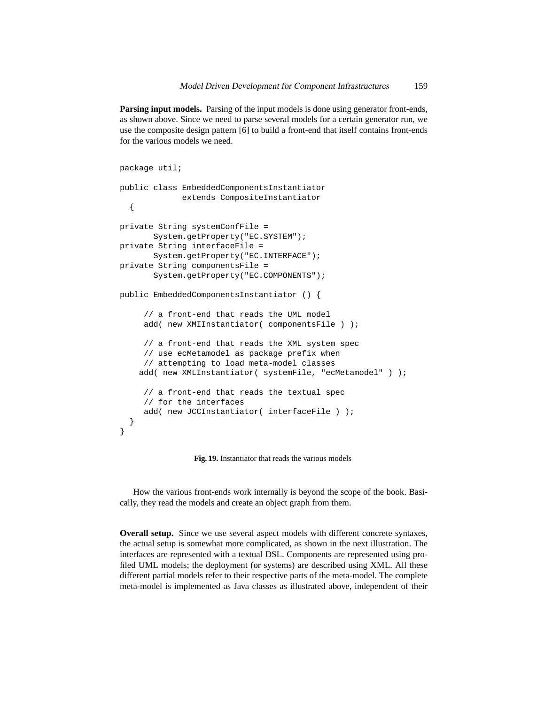**Parsing input models.** Parsing of the input models is done using generator front-ends, as shown above. Since we need to parse several models for a certain generator run, we use the composite design pattern [6] to build a front-end that itself contains front-ends for the various models we need.

```
package util;
public class EmbeddedComponentsInstantiator
             extends CompositeInstantiator
  {
private String systemConfFile =
      System.getProperty("EC.SYSTEM");
private String interfaceFile =
      System.getProperty("EC.INTERFACE");
private String componentsFile =
      System.getProperty("EC.COMPONENTS");
public EmbeddedComponentsInstantiator () {
     // a front-end that reads the UML model
     add( new XMIInstantiator( componentsFile ) );
     // a front-end that reads the XML system spec
     // use ecMetamodel as package prefix when
     // attempting to load meta-model classes
   add( new XMLInstantiator( systemFile, "ecMetamodel" ) );
     // a front-end that reads the textual spec
     // for the interfaces
     add( new JCCInstantiator( interfaceFile ) );
  }
}
```
**Fig. 19.** Instantiator that reads the various models

How the various front-ends work internally is beyond the scope of the book. Basically, they read the models and create an object graph from them.

**Overall setup.** Since we use several aspect models with different concrete syntaxes, the actual setup is somewhat more complicated, as shown in the next illustration. The interfaces are represented with a textual DSL. Components are represented using profiled UML models; the deployment (or systems) are described using XML. All these different partial models refer to their respective parts of the meta-model. The complete meta-model is implemented as Java classes as illustrated above, independent of their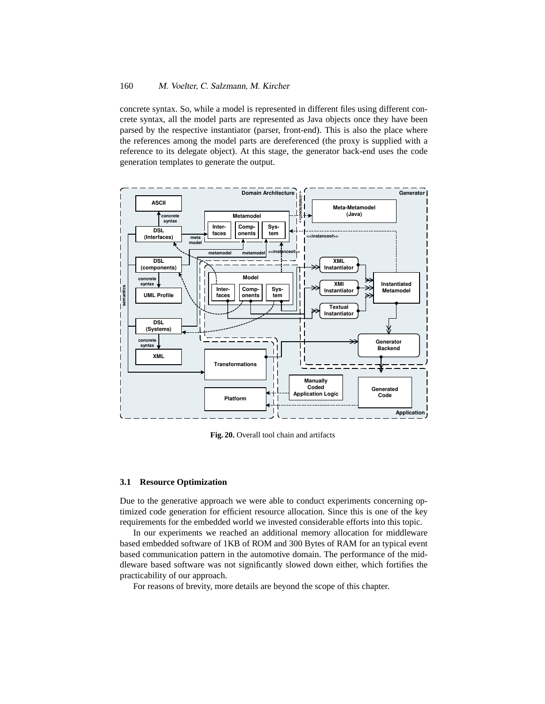concrete syntax. So, while a model is represented in different files using different concrete syntax, all the model parts are represented as Java objects once they have been parsed by the respective instantiator (parser, front-end). This is also the place where the references among the model parts are dereferenced (the proxy is supplied with a reference to its delegate object). At this stage, the generator back-end uses the code generation templates to generate the output.



**Fig. 20.** Overall tool chain and artifacts

### **3.1 Resource Optimization**

Due to the generative approach we were able to conduct experiments concerning optimized code generation for efficient resource allocation. Since this is one of the key requirements for the embedded world we invested considerable efforts into this topic.

In our experiments we reached an additional memory allocation for middleware based embedded software of 1KB of ROM and 300 Bytes of RAM for an typical event based communication pattern in the automotive domain. The performance of the middleware based software was not significantly slowed down either, which fortifies the practicability of our approach.

For reasons of brevity, more details are beyond the scope of this chapter.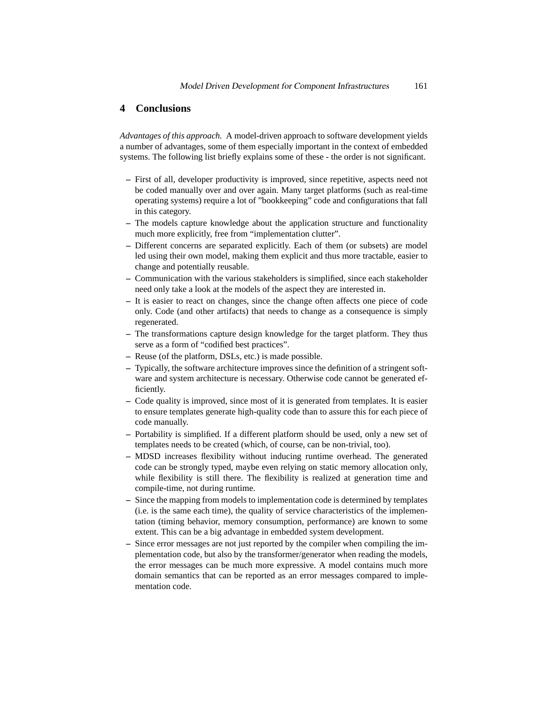## **4 Conclusions**

*Advantages of this approach.* A model-driven approach to software development yields a number of advantages, some of them especially important in the context of embedded systems. The following list briefly explains some of these - the order is not significant.

- **–** First of all, developer productivity is improved, since repetitive, aspects need not be coded manually over and over again. Many target platforms (such as real-time operating systems) require a lot of "bookkeeping" code and configurations that fall in this category.
- **–** The models capture knowledge about the application structure and functionality much more explicitly, free from "implementation clutter".
- **–** Different concerns are separated explicitly. Each of them (or subsets) are model led using their own model, making them explicit and thus more tractable, easier to change and potentially reusable.
- **–** Communication with the various stakeholders is simplified, since each stakeholder need only take a look at the models of the aspect they are interested in.
- **–** It is easier to react on changes, since the change often affects one piece of code only. Code (and other artifacts) that needs to change as a consequence is simply regenerated.
- **–** The transformations capture design knowledge for the target platform. They thus serve as a form of "codified best practices".
- **–** Reuse (of the platform, DSLs, etc.) is made possible.
- **–** Typically, the software architecture improves since the definition of a stringent software and system architecture is necessary. Otherwise code cannot be generated efficiently.
- **–** Code quality is improved, since most of it is generated from templates. It is easier to ensure templates generate high-quality code than to assure this for each piece of code manually.
- **–** Portability is simplified. If a different platform should be used, only a new set of templates needs to be created (which, of course, can be non-trivial, too).
- **–** MDSD increases flexibility without inducing runtime overhead. The generated code can be strongly typed, maybe even relying on static memory allocation only, while flexibility is still there. The flexibility is realized at generation time and compile-time, not during runtime.
- **–** Since the mapping from models to implementation code is determined by templates (i.e. is the same each time), the quality of service characteristics of the implementation (timing behavior, memory consumption, performance) are known to some extent. This can be a big advantage in embedded system development.
- **–** Since error messages are not just reported by the compiler when compiling the implementation code, but also by the transformer/generator when reading the models, the error messages can be much more expressive. A model contains much more domain semantics that can be reported as an error messages compared to implementation code.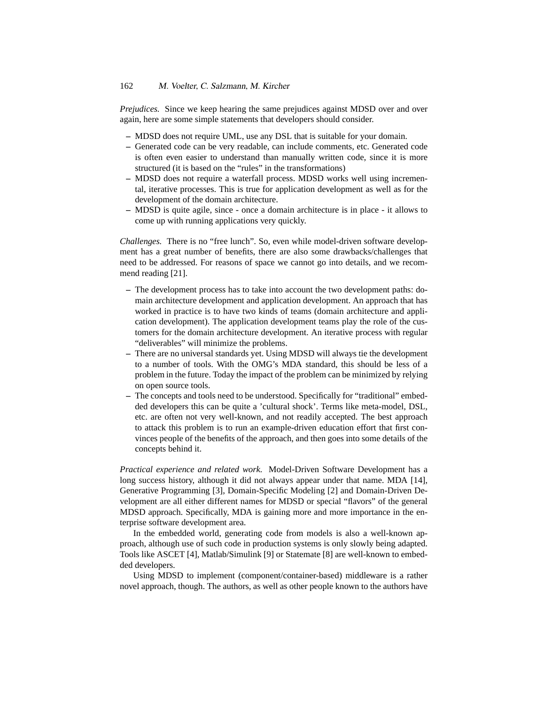*Prejudices.* Since we keep hearing the same prejudices against MDSD over and over again, here are some simple statements that developers should consider.

- **–** MDSD does not require UML, use any DSL that is suitable for your domain.
- **–** Generated code can be very readable, can include comments, etc. Generated code is often even easier to understand than manually written code, since it is more structured (it is based on the "rules" in the transformations)
- **–** MDSD does not require a waterfall process. MDSD works well using incremental, iterative processes. This is true for application development as well as for the development of the domain architecture.
- **–** MDSD is quite agile, since once a domain architecture is in place it allows to come up with running applications very quickly.

*Challenges.* There is no "free lunch". So, even while model-driven software development has a great number of benefits, there are also some drawbacks/challenges that need to be addressed. For reasons of space we cannot go into details, and we recommend reading [21].

- **–** The development process has to take into account the two development paths: domain architecture development and application development. An approach that has worked in practice is to have two kinds of teams (domain architecture and application development). The application development teams play the role of the customers for the domain architecture development. An iterative process with regular "deliverables" will minimize the problems.
- **–** There are no universal standards yet. Using MDSD will always tie the development to a number of tools. With the OMG's MDA standard, this should be less of a problem in the future. Today the impact of the problem can be minimized by relying on open source tools.
- **–** The concepts and tools need to be understood. Specifically for "traditional" embedded developers this can be quite a 'cultural shock'. Terms like meta-model, DSL, etc. are often not very well-known, and not readily accepted. The best approach to attack this problem is to run an example-driven education effort that first convinces people of the benefits of the approach, and then goes into some details of the concepts behind it.

*Practical experience and related work.* Model-Driven Software Development has a long success history, although it did not always appear under that name. MDA [14], Generative Programming [3], Domain-Specific Modeling [2] and Domain-Driven Development are all either different names for MDSD or special "flavors" of the general MDSD approach. Specifically, MDA is gaining more and more importance in the enterprise software development area.

In the embedded world, generating code from models is also a well-known approach, although use of such code in production systems is only slowly being adapted. Tools like ASCET [4], Matlab/Simulink [9] or Statemate [8] are well-known to embedded developers.

Using MDSD to implement (component/container-based) middleware is a rather novel approach, though. The authors, as well as other people known to the authors have